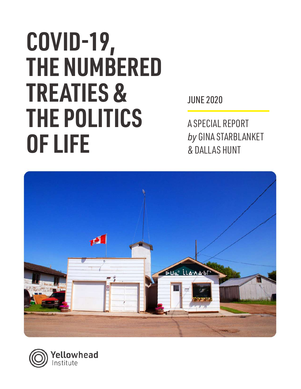# **COVID-19, THE NUMBERED TREATIES & THE POLITICS OF LIFE**

JUNE 2020

A SPECIAL REPORT *by* GINA STARBLANKET & DALLAS HUNT



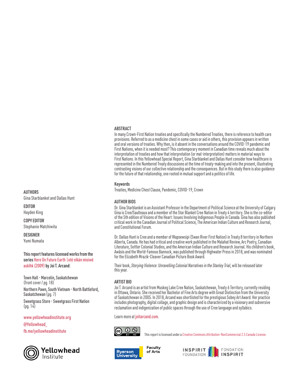#### ABSTRACT

In many Crown-First Nation treaties and specifically the Numbered Treaties, there is reference to health care provisions. Referred to as a medicine chest in some cases or aid in others, this provision appears in written and oral versions of treaties. Why then, is it absent in the conversations around the COVID-19 pandemic and First Nations, when it is needed most? This contemporary moment in Canadian time reveals much about the interpretation of treaties and how that interpretation (or mal-interpretation) matters in material ways to First Nations. In this Yellowhead Special Report, Gina Starblanket and Dallas Hunt consider how healthcare is represented in the Numbered Treaty discussions at the time of treaty-making and into the present, illustrating contrasting visions of our collective relationship and the consequences. But in this study there is also guidance for the future of that relationship, one rooted in mutual support and a politics of life.

#### Keywords

Treaties, Medicine Chest Clause, Pandemic, COVID-19, Crown

#### AUTHOR BIOS

Dr. Gina Starblanket is an Assistant Professor in the Department of Political Science at the University of Calgary. Gina is Cree/Saulteaux and a member of the Star Blanket Cree Nation in Treaty 4 territory. She is the co-editor of the 5th edition of Visions of the Heart: Issues Involving Indigenous People in Canada. Gina has also published critical work in the Canadian Journal of Political Science, The American Indian Culture and Research Journal, and Constitutional Forum.

Dr. Dallas Hunt is Cree and a member of Wapsewsipi (Swan River First Nation) in Treaty 8 territory in Northern Alberta, Canada. He has had critical and creative work published in the Malahat Review, Arc Poetry, Canadian Literature, Settler Colonial Studies, and the American Indian Culture and Research Journal. His children's book, Awâsis and the World-Famous Bannock, was published through Highwater Press in 2018, and was nominated for the Elizabeth Mrazik-Cleaver Canadian Picture Book Award.

Their book, *Storying Violence: Unravelling Colonial Narratives in the Stanley Trial*, will be released later<br>this year.

#### ARTIST BIO

Joi T. Arcand is an artist from Muskeg Lake Cree Nation, Saskatchewan, Treaty 6 Territory, currently residing in Ottawa, Ontario. She received her Bachelor of Fine Arts degree with Great Distinction from the University of Saskatchewan in 2005. In 2018, Arcand was shortlisted for the prestigious Sobey Art Award. Her practice includes photography, digital collage, and graphic design and is characterized by a visionary and subversive reclamation and indigenization of public spaces through the use of Cree language and syllabics.

Learn more at [joitarcand.com](http://joitarcand.com).



fb.me/yellowheadinstitute **This report is licensed under a Creative Commons** Attribution-NonCommercial 2.5 Canada License.



**Faculty** of Arts



### **AUTHORS**

Gina Starblanket and Dallas Hunt

EDITOR Hayden King

COPY EDITOR Stephanie Matchiwita

**DESIGNER** Yumi Numata

This report features licensed works from the series [Here On Future Earth |otē nīkān misiwē](http://www.joitarcand.com/#/hereonfutureearth/)  [askīhk \(2009\)](http://www.joitarcand.com/#/hereonfutureearth/) by Joi T. Arcand:

Town Hall - Marcelin, Saskatchewan (front cover / pg. 18) Northern Pawn, South Vietnam - North Battleford, Saskatchewan (pg. 7) Sweetgrass Store - Sweetgrass First Nation  $(pq. 14)$ 

www.yellowheadinstitute.org

@Yellowhead\_

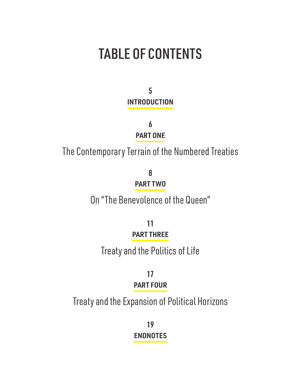## TABLE OF CONTENTS

5 **INTRODUCTION**

> 6 **PART ONE**

The Contemporary Terrain of the Numbered Treaties

8 **PART TWO**

On "The Benevolence of the Queen"

11 **PART THREE**

Treaty and the Politics of Life

17 **PART FOUR**

Treaty and the Expansion of Political Horizons

19 **ENDNOTES**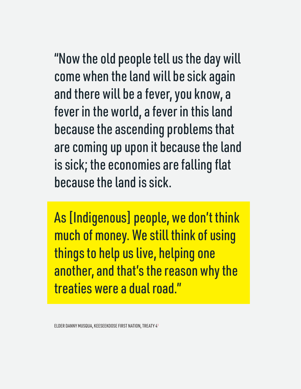"Now the old people tell us the day will come when the land will be sick again and there will be a fever, you know, a fever in the world, a fever in this land because the ascending problems that are coming up upon it because the land is sick; the economies are falling flat because the land is sick.

As [Indigenous] people, we don't think much of money. We still think of using things to help us live, helping one another, and that's the reason why the treaties were a dual road."

ELDER DANNY MUSQUA, KEESEEKOOSE FIRST NATION, TREATY 41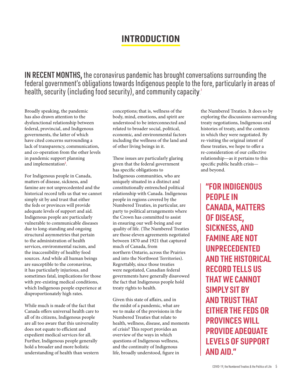## **INTRODUCTION**

IN RECENT MONTHS, the coronavirus pandemic has brought conversations surrounding the federal government's obligations towards Indigenous people to the fore, particularly in areas of health, security (including food security), and community capacity. 2

Broadly speaking, the pandemic has also drawn attention to the dysfunctional relationship between federal, provincial, and Indigenous governments, the latter of which have cited concerns surrounding a lack of transparency, communication, and co-operation from the other levels in pandemic support planning and implementation<sup>3</sup>.

For Indigenous people in Canada, matters of disease, sickness, and famine are not unprecedented and the historical record tells us that we cannot simply sit by and trust that either the feds or provinces will provide adequate levels of support and aid. Indigenous people are particularly vulnerable to communicable diseases due to long-standing and ongoing structural asymmetries that pertain to the administration of health services, environmental racism, and the inaccessibility of healthy food sources. And while all human beings are susceptible to the coronavirus, it has particularly injurious, and sometimes fatal, implications for those with pre-existing medical conditions, which Indigenous people experience at disproportionately high rates.

While much is made of the fact that Canada offers universal health care to all of its citizens, Indigenous people are all too aware that this universality does not equate to efficient and expedient medical services for all. Further, Indigenous people generally hold a broader and more holistic understanding of health than western

conceptions; that is, wellness of the body, mind, emotions, and spirit are understood to be interconnected and related to broader social, political, economic, and environmental factors including the wellness of the land and of other living beings in it.

These issues are particularly glaring given that the federal government has specific obligations to Indigenous communities, who are uniquely situated in a distinct and constitutionally entrenched political relationship with Canada. Indigenous people in regions covered by the Numbered Treaties, in particular, are party to political arrangements where the Crown has committed to assist in ensuring our well-being and our quality of life. (The Numbered Treaties are those eleven agreements negotiated between 1870 and 1921 that captured much of Canada, from northern Ontario, across the Prairies and into the Northwest Territories). Regrettably, since those treaties were negotiated, Canadian federal governments have generally disavowed the fact that Indigenous people hold treaty rights to health.

Given this state of affairs, and in the midst of a pandemic, what are we to make of the provisions in the Numbered Treaties that relate to health, wellness, disease, and moments of crisis? This report provides an overview of the ways in which questions of Indigenous wellness, and the continuity of Indigenous life, broadly understood, figure in

the Numbered Treaties. It does so by exploring the discussions surrounding treaty negotiations, Indigenous oral histories of treaty, and the contexts in which they were negotiated. By re-visiting the original intent of these treaties, we hope to offer a re-consideration of our collective relationship—as it pertains to this specific public health crisis and beyond.

**"FOR INDIGENOUS PEOPLE IN CANADA, MATTERS OF DISEASE, SICKNESS, AND FAMINE ARE NOT UNPRECEDENTED AND THE HISTORICAL RECORD TELLS US THAT WE CANNOT SIMPLY SIT BY AND TRUST THAT EITHER THE FEDS OR PROVINCES WILL PROVIDE ADEQUATE LEVELS OF SUPPORT AND AID."**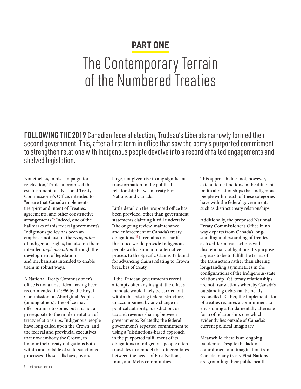## **PART ONE**

## The Contemporary Terrain of the Numbered Treaties

FOLLOWING THE 2019 Canadian federal election, Trudeau's Liberals narrowly formed their second government. This, after a first term in office that saw the party's purported commitment to strengthen relations with Indigenous people devolve into a record of failed engagements and shelved legislation.

Nonetheless, in his campaign for re-election, Trudeau promised the establishment of a National Treaty Commissioner's Office, intended to, "ensure that Canada implements the spirit and intent of Treaties, agreements, and other constructive arrangements."<sup>4</sup> Indeed, one of the hallmarks of this federal government's Indigenous policy has been an emphasis not just on the *recognition* of Indigenous rights, but also on their intended *implementation* through the development of legislation and mechanisms intended to enable them in robust ways.

A National Treaty Commissioner's office is not a novel idea, having been recommended in 1996 by the Royal Commission on Aboriginal Peoples (among others). The office may offer promise to some, but it is not a prerequisite to the implementation of treaty relationships. Indigenous people have long called upon the Crown, and the federal and provincial executives that now embody the Crown, to honour their treaty obligations both within and outside of state-sanctioned processes. These calls have, by and

large, not given rise to any significant transformation in the political relationship between treaty First Nations and Canada.

Little detail on the proposed office has been provided, other than government statements claiming it will undertake, "the ongoing review, maintenance and enforcement of Canada's treaty obligations."<sup>5</sup> It remains unclear if this office would provide Indigenous people with a similar or alternative process to the Specific Claims Tribunal for advancing claims relating to Crown breaches of treaty.

If the Trudeau government's recent attempts offer any insight, the office's mandate would likely be carried out within the existing federal structure, unaccompanied by any change in political authority, jurisdiction, or tax and revenue sharing between governments. Relatedly, the federal government's repeated commitment to using a "distinctions-based approach" in the purported fulfillment of its obligations to Indigenous people often translates to a model that differentiates between the needs of First Nations, Inuit, and Métis communities.

This approach does not, however, extend to distinctions in the different political relationships that Indigenous people within each of these categories have with the federal government, such as distinct treaty relationships.

Additionally, the proposed National Treaty Commissioner's Office in no way departs from Canada's longstanding understanding of treaties as fixed-term transactions with discretionary obligations. Its purpose appears to be to fulfill the terms of the transaction rather than altering longstanding asymmetries in the configurations of the Indigenous-state relationship. Yet, treaty relationships are not transactions whereby Canada's outstanding debts can be neatly reconciled. Rather, the implementation of treaties requires a commitment to envisioning a fundamentally alternate form of relationship, one which evidently lies outside of Canada's current political imaginary.

Meanwhile, there is an ongoing pandemic. Despite the lack of commitment and imagination from Canada, many treaty First Nations are grounding their public health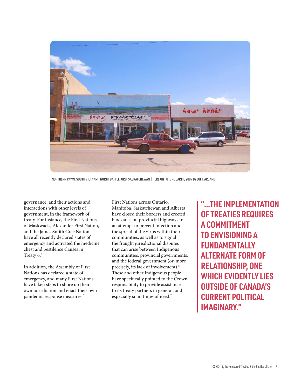

NORTHERN PAWN, SOUTH VIETNAM - NORTH BATTLEFORD, SASKATCHEWAN | HERE ON FUTURE EARTH, 2009 BY JOI T. ARCAND

governance, and their actions and interactions with other levels of government, in the framework of treaty. For instance, the First Nations of Maskwacis, Alexander First Nation, and the James Smith Cree Nation have all recently declared states of emergency and activated the medicine chest and pestilence clauses in Treaty  $6.6$ 

In addition, the Assembly of First Nations has declared a state of emergency, and many First Nations have taken steps to shore up their own jurisdiction and enact their own pandemic response measures.<sup>7</sup>

First Nations across Ontario, Manitoba, Saskatchewan and Alberta have closed their borders and erected blockades on provincial highways in an attempt to prevent infection and the spread of the virus within their communities, as well as to signal the fraught jurisdictional disputes that can arise between Indigenous communities, provincial governments, and the federal government (or, more precisely, its lack of involvement).<sup>8</sup> These and other Indigenous people have specifically pointed to the Crown' responsibility to provide assistance to its treaty partners in general, and especially so in times of need.<sup>9</sup>

**"...THE IMPLEMENTATION OF TREATIES REQUIRES A COMMITMENT TO ENVISIONING A FUNDAMENTALLY ALTERNATE FORM OF RELATIONSHIP, ONE WHICH EVIDENTLY LIES OUTSIDE OF CANADA'S CURRENT POLITICAL IMAGINARY."**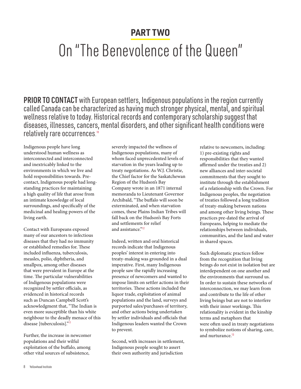## **PART TWO**

## On "The Benevolence of the Queen"

PRIOR TO CONTACT with European settlers, Indigenous populations in the region currently called Canada can be characterized as having much stronger physical, mental, and spiritual wellness relative to today. Historical records and contemporary scholarship suggest that diseases, illnesses, cancers, mental disorders, and other significant health conditions were relatively rare occurrences. 10

Indigenous people have long understood human wellness as interconnected and interconnected and inextricably linked to the environments in which we live and hold responsibilities towards. Precontact, Indigenous people had longstanding practices for maintaining a high quality of life that arose from an intimate knowledge of local surroundings, and specifically of the medicinal and healing powers of the living earth.

Contact with Europeans exposed many of our ancestors to infectious diseases that they had no immunity or established remedies for. These included influenza, tuberculosis, measles, polio, diphtheria, and smallpox, among other diseases that were prevalent in Europe at the time. The particular vulnerabilities of Indigenous populations were recognized by settler officials, as evidenced in historical records such as Duncan Campbell Scott's acknowledgment that, "The Indian is even more susceptible than his white neighbour to the deadly menace of this disease [tuberculosis]."<sup>11</sup>

Further, the increase in newcomer populations and their wilful exploitation of the buffalo, among other vital sources of subsistence,

severely impacted the wellness of Indigenous populations, many of whom faced unprecedented levels of starvation in the years leading up to treaty negotiations. As W.J. Christie, the Chief factor for the Saskatchewan Region of the Hudson's Bay Company wrote in an 1871 internal memoranda to Lieutenant Governor Archibald, "The buffalo will soon be exterminated, and when starvation comes, these Plains Indian Tribes will fall back on the Hudson's Bay Forts and settlements for relief and assistance."<sup>12</sup>

Indeed, written and oral historical records indicate that Indigenous peoples' interest in entering into treaty-making was grounded in a dual imperative. First, many Indigenous people saw the rapidly increasing presence of newcomers and wanted to impose limits on settler actions in their territories. These actions included the liquor trade, exploitation of animal populations and the land, surveys and purported sales/purchases of territory, and other actions being undertaken by settler individuals and officials that Indigenous leaders wanted the Crown to prevent.

Second, with increases in settlement, Indigenous people sought to assert their own authority and jurisdiction

relative to newcomers, including: 1) pre-existing rights and responsibilities that they wanted affirmed under the treaties and 2) new alliances and inter-societal commitments that they sought to institute through the establishment of a relationship with the Crown. For Indigenous peoples, the negotiation of treaties followed a long tradition of treaty-making between nations and among other living beings. These practices pre-dated the arrival of Europeans, helping to mediate the relationships between individuals, communities, and the land and water in shared spaces.

Such diplomatic practices follow from the recognition that living beings do not exist in isolation but are interdependent on one another and the environments that surround us. In order to sustain these networks of interconnection, we may learn from and contribute to the life of other living beings but are not to interfere with their inner workings. This relationality is evident in the kinship terms and metaphors that were often used in treaty negotiations to symbolize notions of sharing, care, and nurturance.<sup>13</sup>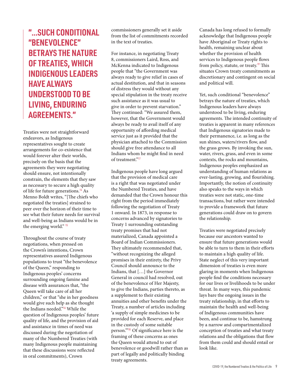**"...SUCH CONDITIONAL "BENEVOLENCE" BETRAYS THE NATURE OF TREATIES, WHICH INDIGENOUS LEADERS HAVE ALWAYS UNDERSTOOD TO BE LIVING, ENDURING AGREEMENTS."**

Treaties were not straightforward endeavors, as Indigenous representatives sought to create arrangements for co-existence that would forever alter their worlds, precisely on the basis that the agreements they were negotiating should ensure, not intentionally constrain, the elements that they saw as necessary to secure a high quality of life for future generations.<sup>14</sup> As Menno Boldt writes, "[The chiefs who negotiated the treaties] strained to peer over the horizon of their time to see what their future needs for survival and well-being as Indians would be in the emerging world." <sup>15</sup>

Throughout the course of treaty negotiations, when pressed on the Crown's intentions, Crown representatives assured Indigenous populations to trust "the benevolence of the Queen," responding to Indigenous peoples' concerns surrounding ongoing famine and disease with assurances that, "the Queen will take care of all her children," or that "she in her goodness would give such help as she thought the Indians needed."<sup>16</sup> While the question of Indigenous peoples' future quality of life, and the provision of aid and assistance in times of need was discussed during the negotiation of many of the Numbered Treaties (with many Indigenous people maintaining that these discussions were reflected in oral commitments), Crown

commissioners generally set it aside from the list of commitments recorded in the text of treaties.

For instance, in negotiating Treaty 8, commissioners Laird, Ross, and McKenna indicated to Indigenous people that "the Government was always ready to give relief in cases of actual destitution, and that in seasons of distress they would without any special stipulation in the treaty receive such assistance as it was usual to give in order to prevent starvation." They continued: "We assured them, however, that the Government would always be ready to avail itself of any opportunity of affording medical service just as it provided that the physician attached to the Commission should give free attendance to all Indians whom he might find in need of treatment."<sup>17</sup>

Indigenous people have long argued that the provision of medical care is a right that was negotiated under the Numbered Treaties, and have demanded that the Crown honour this right from the period immediately following the negotiation of Treaty 1 onward. In 1873, in response to concerns advanced by signatories to Treaty 1 surrounding outstanding treaty promises that had not materialized, Canada appointed a Board of Indian Commissioners. They ultimately recommended that, "without recognizing the alleged promises in their entirety, the Privy Council should announce to the Indians, that […] the Governor General in council had resolved, out of the benevolence of Her Majesty, to give the Indians, parties thereto, as a supplement to their existing annuities and other benefits under the Treaty, a number of articles including 'a supply of simple medicines to be provided for each Reserve, and place in the custody of some suitable person.'"<sup>18</sup>Of significance here is the framing of these concerns as ones the Queen would attend to out of benevolence or goodwill rather than as part of legally and politically binding treaty agreements.

Canada has long refused to formally acknowledge that Indigenous people have Aboriginal or Treaty rights to health, remaining unclear about whether the provision of health services to Indigenous people flows from policy, statute, or treaty.<sup>19</sup> This situates Crown treaty commitments as discretionary and contingent on social and political will.

Yet, such conditional "benevolence" betrays the nature of treaties, which Indigenous leaders have always understood to be living, enduring agreements. The intended continuity of treaties is apparent in many references that Indigenous signatories made to their permanence, i.e. as long as the sun shines, waters/rivers flow, and the grass grows. By invoking the sun, water, rivers, grass, and even in some contexts, the rocks and mountains, Indigenous peoples emphasized an understanding of human relations as ever-lasting, growing, and flourishing. Importantly, the notion of continuity also speaks to the ways in which treaties were not static, one-time transactions, but rather were intended to provide a framework that future generations could draw on to govern the relationship.

Treaties were negotiated precisely because our ancestors wanted to ensure that future generations would be able to turn to them in their efforts to maintain a high quality of life. State neglect of this very important dimension of treaties is even more glaring in moments when Indigenous people find the conditions necessary for our lives or livelihoods to be under threat. In many ways, this pandemic lays bare the ongoing issues in the treaty relationship, in that efforts to maintain the health and well-being of Indigenous communities have been, and continue to be, hamstrung by a narrow and compartmentalized conception of treaties and what treaty relations and the obligations that flow from them could and should entail or look like.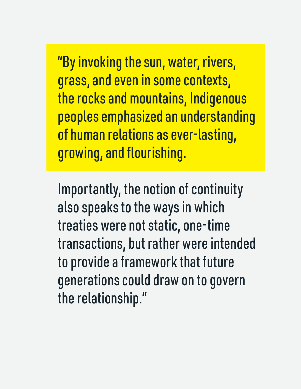"By invoking the sun, water, rivers, grass, and even in some contexts, the rocks and mountains, Indigenous peoples emphasized an understanding of human relations as ever-lasting, growing, and flourishing.

Importantly, the notion of continuity also speaks to the ways in which treaties were not static, one-time transactions, but rather were intended to provide a framework that future generations could draw on to govern the relationship."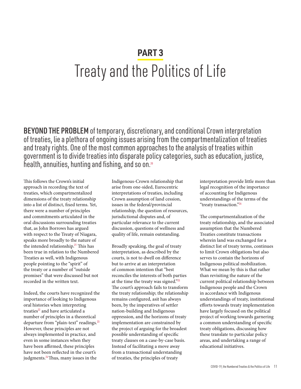## **PART 3** Treaty and the Politics of Life

BEYOND THE PROBLEM of temporary, discretionary, and conditional Crown interpretation of treaties, lie a plethora of ongoing issues arising from the compartmentalization of treaties and treaty rights. One of the most common approaches to the analysis of treaties within government is to divide treaties into disparate policy categories, such as education, justice, health, annuities, hunting and fishing, and so on.<sup>20</sup>

This follows the Crown's initial approach in recording the text of treaties, which compartmentalized dimensions of the treaty relationship into a list of distinct, fixed terms. Yet, there were a number of principles and commitments articulated in the oral discussions surrounding treaties that, as John Borrows has argued with respect to the Treaty of Niagara, speaks more broadly to the nature of the intended relationship.<sup>21</sup> This has been true in relation to the Numbered Treaties as well, with Indigenous people pointing to the "spirit" of the treaty or a number of "outside promises" that were discussed but not recorded in the written text.

Indeed, the courts have recognized the importance of looking to Indigenous oral histories when interpreting treaties<sup>22</sup> and have articulated a number of principles in a theoretical departure from "plain-text" readings.<sup>23</sup> However, these principles are not always implemented in practice, and even in some instances when they have been affirmed, these principles have not been reflected in the court's judgments.<sup>24</sup>Thus, many issues in the

Indigenous-Crown relationship that arise from one-sided, Eurocentric interpretations of treaties, including Crown assumption of land cession, issues in the federal/provincial relationship, the question of resources, jurisdictional disputes and, of particular relevance to the current discussion, questions of wellness and quality of life, remain outstanding.

Broadly speaking, the goal of treaty interpretation, as described by the courts, is not to dwell on difference but to arrive at an interpretation of common intention that "best reconciles the interests of both parties at the time the treaty was signed."<sup>25</sup> The court's approach fails to transform the treaty relationship; the relationship remains configured, asit has always been, by the imperatives of settler nation-building and Indigenous oppression, and the horizons of treaty implementation are constrained by the project of arguing for the broadest possible understanding of specific treaty clauses on a case-by-case basis. Instead of facilitating a move away from a transactional understanding of treaties, the principles of treaty

interpretation provide little more than legal recognition of the importance of accounting for Indigenous understandings of the terms of the "treaty transaction."<sup>26</sup>

The compartmentalization of the treaty relationship, and the associated assumption that the Numbered Treaties constitute transactions wherein land was exchanged for a distinct list of treaty terms, continues to limit Crown obligations but also serves to contain the horizons of Indigenous political mobilization. What we mean by this is that rather than revisiting the nature of the current political relationship between Indigenous people and the Crown in accordance with Indigenous understandings of treaty, institutional efforts towards treaty implementation have largely focused on the political project of working towards garnering a common understanding of specific treaty obligations, discussing how these translate to particular policy areas, and undertaking a range of educational initiatives.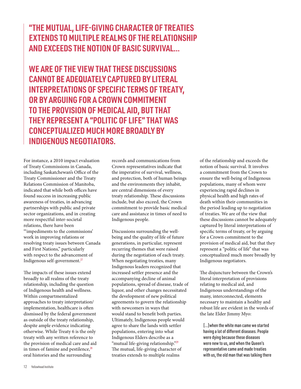### **"THE MUTUAL, LIFE-GIVING CHARACTER OF TREATIES EXTENDS TO MULTIPLE REALMS OF THE RELATIONSHIP AND EXCEEDS THE NOTION OF BASIC SURVIVAL...**

**WE ARE OF THE VIEW THAT THESE DISCUSSIONS CANNOT BE ADEQUATELY CAPTURED BY LITERAL INTERPRETATIONS OF SPECIFIC TERMS OF TREATY, OR BY ARGUING FOR A CROWN COMMITMENT TO THE PROVISION OF MEDICAL AID, BUT THAT THEY REPRESENT A "POLITIC OF LIFE" THAT WAS CONCEPTUALIZED MUCH MORE BROADLY BY INDIGENOUS NEGOTIATORS.**

For instance, a 2010 impact evaluation of Treaty Commissions in Canada, including Saskatchewan's Office of the Treaty Commissioner and the Treaty Relations Commission of Manitoba, indicated that while both offices have found success in increasing public awareness of treaties, in advancing partnerships with public and private sector organizations, and in creating more respectful inter-societal relations, there have been "'impediments to the commissions' work in improving relations or resolving treaty issues between Canada and First Nations," particularly with respect to the advancement of Indigenous self-government.<sup>27</sup>

The impacts of these issues extend broadly to all realms of the treaty relationship, including the question of Indigenous health and wellness. Within compartmentalized approaches to treaty interpretation/ implementation, healthcare is often dismissed by the federal government as outside of the treaty relationship, despite ample evidence indicating otherwise. While Treaty 6 is the only treaty with any written reference to the provision of medical care and aid in times of famine and pestilence, $28$ oral histories and the surrounding

records and communications from Crown representatives indicate that the imperative of survival, wellness, and protection, both of human beings and the environments they inhabit, are central dimensions of every treaty relationship. These discussions include, but also exceed, the Crown commitment to provide basic medical care and assistance in times of need to Indigenous people.

Discussions surrounding the wellbeing and the quality of life of future generations, in particular, represent recurring themes that were raised during the negotiation of each treaty. When negotiating treaties, many Indigenous leaders recognized that increased settler presence and the accompanying decline of animal populations, spread of disease, trade of liquor, and other changes necessitated the development of new political agreements to govern the relationship with newcomers in ways that would stand to benefit both parties. Ultimately, Indigenous people would agree to share the lands with settler populations, entering into what Indigenous Elders describe as a "mutual life-giving relationship."<sup>29</sup> The mutual, life-giving character of treaties extends to multiple realms

of the relationship and exceeds the notion of basic survival. It involves a commitment from the Crown to ensure the well-being of Indigenous populations, many of whom were experiencing rapid declines in physical health and high rates of death within their communities in the period leading up to negotiation of treaties. We are of the view that these discussions cannot be adequately captured by literal interpretations of specific terms of treaty, or by arguing for a Crown commitment to the provision of medical aid, but that they represent a "politic of life" that was conceptualized much more broadly by Indigenous negotiators.

The disjuncture between the Crown's literal interpretation of provisions relating to medical aid, and Indigenous understandings of the many, interconnected, elements necessary to maintain a healthy and robust life are evident in the words of the late Elder Jimmy Myo:

[…]when the white man came we started having a lot of different diseases. People were dying because these diseases were new to us, and when the Queen's representative came and made treaties with us, the old man that was talking there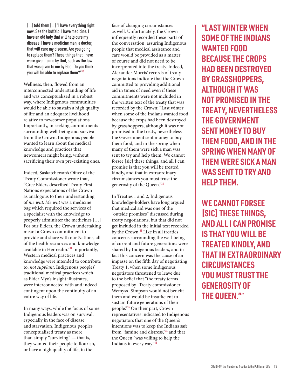[...] told them [...] "I have everything right now. See the buffalo. I have medicine. I have an old lady that will help cure my disease. I have a medicine man, a doctor, that will cure my disease. Are you going to replace them? These things that I have were given to me by God, such as the law that was given to me by God. Do you think you will be able to replace them?"30

Wellness, then, flowed from an interconnected understanding of life and was conceptualized in a robust way, where Indigenous communities would be able to sustain a high quality of life and an adequate livelihood relative to newcomer populations. Importantly, in seeking commitments surrounding well-being and survival from the Crown, Indigenous people wanted to learn about the medical knowledge and practices that newcomers might bring, without sacrificing their own pre-existing ones.

Indeed, Saskatchewan's Office of the Treaty Commissioner wrote that, "Cree Elders described Treaty First Nations expectations of the Crown as analogous to their understanding of *me wut*. *Me wut* was a medicine bag which required the services of a specialist with the knowledge to properly administer the medicines […] For our Elders, the Crown undertaking meant a Crown commitment to provide and share with our Nations, all of the health resources and knowledge available in Her realm."<sup>31</sup> Importantly, Western medical practices and knowledge were intended to contribute to, *not supplant*, Indigenous peoples' traditional medical practices which, as Elder Myo's insight illustrates, were interconnected with and indeed contingent upon the continuity of an entire way of life.

In many ways, while the focus of some Indigenous leaders was on survival, especially in the face of disease and starvation, Indigenous peoples conceptualized treaty as more than simply "surviving" — that is, they wanted their people to flourish, or have a high quality of life, in the

face of changing circumstances as well. Unfortunately, the Crown infrequently recorded these parts of the conversation, assuring Indigenous people that medical assistance and care would be provided as a matter of course and did not need to be incorporated into the treaty. Indeed, Alexander Morris' records of treaty negotiations indicate that the Crown committed to providing additional aid in times of need even if these commitments were not included in the written text of the treaty that was recorded by the Crown: "Last winter when some of the Indians wanted food because the crops had been destroyed by grasshoppers, although it was not promised in the treaty, nevertheless the Government sent money to buy them food, and in the spring when many of them were sick a man was sent to try and help them. We cannot forsee [sic] these things, and all I can promise is that you will be treated kindly, and that in extraordinary circumstances you must trust the generosity of the Queen."<sup>32</sup>

In Treaties 1 and 2, Indigenous knowledge-holders have long argued that medical aid was one of the "outside promises" discussed during treaty negotiations, but that did not get included in the initial text recorded by the Crown.<sup>33</sup> Like in all treaties, concerns surrounding the well-being of current and future generations were shared by Indigenous leaders, and in fact this concern was the cause of an impasse on the fifth day of negotiating Treaty 1, when some Indigenous negotiators threatened to leave due to the belief that "the treaty terms proposed by [Treaty commissioner Wemyss] Simpson would not benefit them and would be insufficient to sustain future generations of their people."<sup>34</sup> On their part, Crown representatives indicated to Indigenous negotiators that one of the Queen's intentions was to keep the Indians safe from "famine and distress,"<sup>35</sup> and that the Queen "was willing to help the Indians in every way."<sup>36</sup>

**"LAST WINTER WHEN SOME OF THE INDIANS WANTED FOOD BECAUSE THE CROPS HAD BEEN DESTROYED BY GRASSHOPPERS, ALTHOUGH IT WAS NOT PROMISED IN THE TREATY, NEVERTHELESS THE GOVERNMENT SENT MONEY TO BUY THEM FOOD, AND IN THE SPRING WHEN MANY OF THEM WERE SICK A MAN WAS SENT TO TRY AND HELP THEM.** 

**WE CANNOT FORSEE [SIC] THESE THINGS, AND ALL I CAN PROMISE IS THAT YOU WILL BE TREATED KINDLY, AND THAT IN EXTRAORDINARY CIRCUMSTANCES YOU MUST TRUST THE GENEROSITY OF THE QUEEN."**22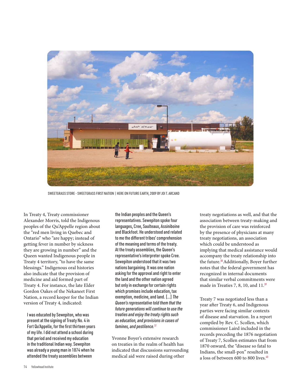

SWEETGRASS STORE - SWEETGRASS FIRST NATION | HERE ON FUTURE EARTH, 2009 BY JOI T. ARCAND

In Treaty 4, Treaty commissioner Alexander Morris, told the Indigenous peoples of the Qu'Appelle region about the "red men living in Quebec and Ontario" who "are happy; instead of getting fever in number by sickness they are growing in number" and the Queen wanted Indigenous people in Treaty 4 territory, "to have the same blessings." Indigenous oral histories also indicate that the provision of medicine and aid formed part of Treaty 4. For instance, the late Elder Gordon Oakes of the Nekaneet First Nation, a record keeper for the Indian version of Treaty 4, indicated:

I was educated by Sewepiton, who was present at the signing of Treaty No. 4 in Fort Qu'Appelle, for the first thirteen years of my life. I did not attend a school during that period and received my education in the traditional Indian way. Sewepiton was already a young man in 1874 when he attended the treaty assemblies between

the Indian peoples and the Queen's representatives. Sewepiton spoke four languages, Cree, Saulteaux, Assiniboine and Blackfoot. He understood and related to me the different tribes' comprehension of the meaning and terms of the treaty. At the treaty assemblies, the Queen's representative's interpreter spoke Cree. Sewepiton understood that it was two nations bargaining. It was one nation asking for the approval and right to enter the land and the other nation agreed but only in exchange for certain rights which promises include education, tax exemption, medicine, and land. [...] *The Queen's representative told them that the future generations will continue to use the treaties and enjoy the treaty rights such as education, and provisions in cases of famines, and pestilence.*<sup>37</sup>

Yvonne Boyer's extensive research on treaties in the realm of health has indicated that discussions surrounding medical aid were raised during other

treaty negotiations as well, and that the association between treaty-making and the provision of care was reinforced by the presence of physicians at many treaty negotiations, an association which could be understood as implying that medical assistance would accompany the treaty relationship into the future.<sup>38</sup> Additionally, Boyer further notes that the federal government has recognized in internal documents that similar verbal commitments were made in Treaties 7, 8, 10, and 11.<sup>39</sup>

Treaty 7 was negotiated less than a year after Treaty 6, and Indigenous parties were facing similar contexts of disease and starvation. In a report compiled by Rev. C. Scollen, which commissioner Laird included in the records preceding the 1876 negotiation of Treaty 7, Scollen estimates that from 1870 onward, the "disease so fatal to Indians, the small-pox" resulted in a loss of between 600 to 800 lives.<sup>40</sup>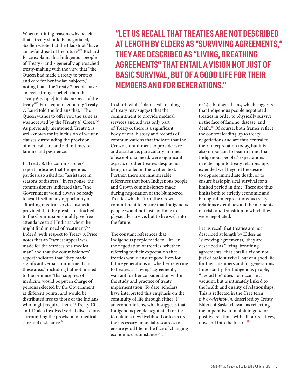When outlining reasons why he felt that a treaty should be negotiated, Scollen wrote that the Blackfoot "have an awful dread of the future."<sup>41</sup> Richard Price explains that Indigenous people of Treaty 6 and 7 generally approached treaty-making with the view that "the Queen had made a treaty to protect and care for her indian subjects," noting that "The Treaty 7 people have an even stronger belief [than the Treaty 6 people] in this purpose of the treaty."<sup>42</sup> Further, in negotiating Treaty 7, Laird told the Indians that, "The Queen wishes to offer you the same as was accepted by the [Treaty 6] Crees."43 As previously mentioned, Treaty 6 is well-known for its inclusion of written clauses surrounding the provision of medical care and aid in times of famine and pestilence.

In Treaty 8, the commissioners' report indicates that Indigenous parties also asked for "assistance in seasons of distress;" in response, the commissioners indicated that, "the Government would always be ready to avail itself of any opportunity of affording medical service just as it provided that the physician attached to the Commission should give free attendance to all Indians whom he might find in need of treatment."<sup>44</sup> Indeed, with respect to Treaty 8, Price notes that an "earnest appeal was made for the services of a medical man" and that the commissioners' report indicates that "they made significant verbal commitments in these areas" including but not limited to the promise "that supplies of medicine would be put in charge of persons selected by the Government at different points, and would be distributed free to those of the Indians who might require them."<sup>45</sup> Treaty 10 and 11 also involved verbal discussions surrounding the provision of medical care and assistance.<sup>46</sup>

## **"LET US RECALL THAT TREATIES ARE NOT DESCRIBED AT LENGTH BY ELDERS AS "SURVIVING AGREEMENTS," THEY ARE DESCRIBED AS "LIVING, BREATHING AGREEMENTS" THAT ENTAIL A VISION NOT JUST OF BASIC SURVIVAL, BUT OF A GOOD LIFE FOR THEIR MEMBERS AND FOR GENERATIONS."**

In short, while "plain-text" readings of treaty may suggest that the commitment to provide medical services and aid was only part of Treaty 6, there is a significant body of oral history and records of communications that indicate that the Crown commitment to provide care and assistance, particularly in times of exceptional need, were significant aspects of other treaties despite not being detailed in the written text. Further, there are innumerable references that both Indigenous people and Crown commissioners made during negotiation of the Numbered Treaties which affirm the Crown commitment to ensure that Indigenous people would not just continue to physically survive, but to live well into the future.

The constant references that Indigenous people made to "life" in the negotiation of treaties, whether referring to their expectation that treaties would ensure good lives for future generations or whether referring to treaties as "living" agreements, warrant further consideration within the study and practice of treaty implementation. To date, scholars have interpreted this emphasis on the continuity of life through either: 1) an economic lens, which suggests that Indigenous people negotiated treaties to obtain a new livelihood or to secure the necessary financial resources to ensure good life in the face of changing economic circumstances $47$ ,

or 2) a biological lens, which suggests that Indigenous people negotiated treaties in order to physically survive in the face of famine, disease, and death.<sup>48</sup> Of course, both frames reflect the context leading up to treaty negotiations and are thus central to their interpretation today, but it is also important to bear in mind that Indigenous peoples' expectations in entering into treaty relationships extended well beyond the desire to oppose immediate death, or to ensure basic physical survival for a limited period in time. There are thus limits both to strictly economic and biological interpretations, as treaty relations extend beyond the moments of crisis and transition in which they were negotiated.

Let us recall that treaties are not described at length by Elders as "surviving agreements," they are described as "living, breathing agreements" that entail a vision not just of basic survival, but of a good life for their members and for generations. Importantly, for Indigenous people, "a good life" does not occur in a vacuum, but is intimately linked to the health and quality of relationships. This is reflected in the Cree term *miyo-wîcêhtowin*, described by Treaty Elders of Saskatchewan as reflecting the imperative to maintain good or positive relations with all our relatives, now and into the future.<sup>49</sup>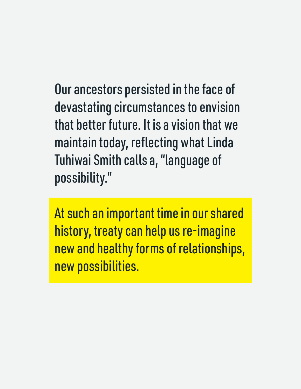Our ancestors persisted in the face of devastating circumstances to envision that better future. It is a vision that we maintain today, reflecting what Linda Tuhiwai Smith calls a, "language of possibility."

At such an important time in our shared history, treaty can help us re-imagine new and healthy forms of relationships, new possibilities.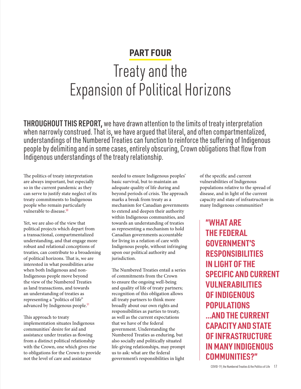## **PART FOUR**

## Treaty and the Expansion of Political Horizons

THROUGHOUT THIS REPORT, we have drawn attention to the limits of treaty interpretation when narrowly construed. That is, we have argued that literal, and often compartmentalized, understandings of the Numbered Treaties can function to reinforce the suffering of Indigenous people by delimiting and in some cases, entirely obscuring, Crown obligations that flow from Indigenous understandings of the treaty relationship.

The politics of treaty interpretation are always important, but especially so in the current pandemic as they can serve to justify state neglect of its treaty commitments to Indigenous people who remain particularly vulnerable to disease.<sup>50</sup>

Yet, we are also of the view that political projects which depart from a transactional, compartmentalized understanding, and that engage more robust and relational conceptions of treaties, can contribute to a broadening of political horizons. That is, we are interested in what possibilities arise when both Indigenous and non-Indigenous people move beyond the view of the Numbered Treaties as land transactions, and towards an understanding of treaties as representing a "politics of life" advanced by Indigenous people.<sup>51</sup>

This approach to treaty implementation situates Indigenous communities' desire for aid and assistance under treaties as flowing from a distinct political relationship with the Crown, one which gives rise to obligations for the Crown to provide not the level of care and assistance

needed to ensure Indigenous peoples' basic survival, but to maintain an adequate quality of life during and beyond periods of crisis. The approach marks a break from treaty as a mechanism for Canadian governments to extend and deepen their authority within Indigenous communities, and towards an understanding of treaties as representing a mechanism to hold Canadian governments accountable for living in a relation of care with Indigenous people, without infringing upon our political authority and jurisdiction.

The Numbered Treaties entail a series of commitments from the Crown to ensure the ongoing well-being and quality of life of treaty partners; recognition of this obligation allows all treaty partners to think more broadly about our own rights and responsibilities as parties to treaty, as well as the current expectations that we have of the federal government. Understanding the Numbered Treaties as enduring, but also socially and politically situated life-giving relationships, may prompt us to ask: what are the federal government's responsibilities in light

of the specific and current vulnerabilities of Indigenous populations relative to the spread of disease, and in light of the current capacity and state of infrastructure in many Indigenous communities?

**"WHAT ARE THE FEDERAL GOVERNMENT'S RESPONSIBILITIES IN LIGHT OF THE SPECIFIC AND CURRENT VULNERABILITIES OF INDIGENOUS POPULATIONS ...AND THE CURRENT CAPACITY AND STATE OF INFRASTRUCTURE IN MANY INDIGENOUS COMMUNITIES?"**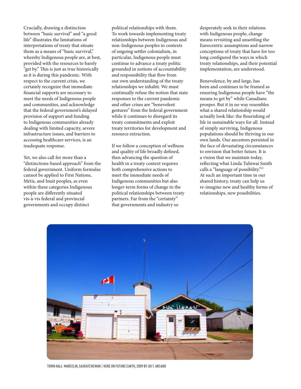Crucially, drawing a distinction between "basic survival" and "a good life" illustrates the limitations of interpretations of treaty that situate them as a means of "basic survival," whereby Indigenous people are, at best, provided with the resources to barely "get by." This is just as true historically as it is during this pandemic. With respect to the current crisis, we certainly recognize that immediate financial supports are necessary to meet the needs of Indigenous people and communities, and acknowledge that the federal government's delayed provision of support and funding to Indigenous communities already dealing with limited capacity, severe infrastructure issues, and barriers to accessing healthcare services, is an inadequate response.

Yet, we also call for more than a "distinctions-based approach" from the federal government. Uniform formulas cannot be applied to First Nations, Métis, and Inuit peoples, as even within these categories Indigenous people are differently situated vis-à-vis federal and provincial governments and occupy distinct

political relationships with them. To work towards implementing treaty relationships between Indigenous and non-Indigenous peoples in contexts of ongoing settler colonialism, in particular, Indigenous people must continue to advance a treaty politic grounded in notions of accountability and responsibility that flow from our own understanding of the treaty relationships we inhabit. We must continually refuse the notion that state responses to the current pandemic and other crises are "benevolent gestures" from the federal government while it continues to disregard its treaty commitments and exploit treaty territories for development and resource extraction.

If we follow a conception of wellness and quality of life broadly defined, then advancing the question of health in a treaty context requires both comprehensive actions to meet the immediate needs of Indigenous communities but also longer-term forms of change in the political relationships between treaty partners. Far from the "certainty" that governments and industry so

desperately seek in their relations with Indigenous people, change means revisiting and unsettling the Eurocentric assumptions and narrow conceptions of treaty that have for too long configured the ways in which treaty relationships, and their potential implementation, are understood.

Benevolence, by and large, has been and continues to be framed as ensuring Indigenous people have "the means to get by" while Canadians prosper. But it in no way resembles what a shared relationship would actually look like: the flourishing of life in sustainable ways for all. Instead of simply surviving, Indigenous populations should be thriving in our own lands. Our ancestors persisted in the face of devastating circumstances to envision that better future. It is a vision that we maintain today, reflecting what Linda Tuhiwai Smith calls a "language of possibility."<sup>52</sup> At such an important time in our shared history, treaty can help us re-imagine new and healthy forms of relationships, new possibilities.



TOWN HALL- MARCELIN, SASKATCHEWAN | HERE ON FUTURE EARTH, 2009 BY JOI T. ARCAND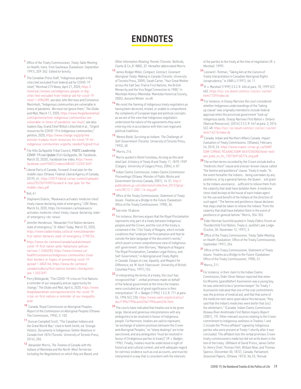## **ENDNOTES**

- <sup>1</sup>Office of the Treaty Commissioner, *Treaty Table Meeting on Health,* trans. from Saulteaux (Saskatoon: September 1997), 359-362. Edited for brevity.
- <sup>2</sup>The Canadian Press Staff, "Indigenous people in big cities feel excluded from federal aid for COVID-19 relief," *Montreal CTV News,* April 21, 2020, [https://](https://montreal.ctvnews.ca/indigenous-people-in-big-cities-feel-excluded-from-federal-aid-for-covid) [montreal.ctvnews.ca/indigenous-people-in-big](https://montreal.ctvnews.ca/indigenous-people-in-big-cities-feel-excluded-from-federal-aid-for-covid)[cities-feel-excluded-from-federal-aid-for-covid-19](https://montreal.ctvnews.ca/indigenous-people-in-big-cities-feel-excluded-from-federal-aid-for-covid) [relief-1.4906289;](https://montreal.ctvnews.ca/indigenous-people-in-big-cities-feel-excluded-from-federal-aid-for-covid) see also John Borrows and Constance Macintosh, "Indigenous communities are vulnerable in times of pandemic. We must not ignore them," *The Globe and Mail*, March 17, 2020, [https://www.theglobeandmail.](https://www.theglobeandmail.com/opinion/article-indigenous-communities-are-vulnerable-in-times-of-pa) [com/opinion/article-indigenous-communities-are](https://www.theglobeandmail.com/opinion/article-indigenous-communities-are-vulnerable-in-times-of-pa)[vulnerable-in-times-of-pandemic-we-must/](https://www.theglobeandmail.com/opinion/article-indigenous-communities-are-vulnerable-in-times-of-pa); see also Isadore Day, Grand Chief Wilton Littlechild et al., "Urgent resources for COVID-19 in Indigenous communities," petition, 2020, [https://www.change.org/p/prime](https://www.change.org/p/prime-minister-trudeau-more-resources-for-covid-19-for-indigenous-communiti)[minister-trudeau-more-resources-for-covid-19-for](https://www.change.org/p/prime-minister-trudeau-more-resources-for-covid-19-for-indigenous-communiti)[indigenous-communities-urgently-needed?signed=true](https://www.change.org/p/prime-minister-trudeau-more-resources-for-covid-19-for-indigenous-communiti)
- <sup>3</sup>File Hills Qu'Appelle Tribal Council, *FHQTC Leadership COVID-19 Live Update* (Fort Qu'Appelle, SK: Facebook, March 20, 2020), Facebook live video, [https://www.](https://www.facebook.com/FHQTC/videos/684501122351349/ ) [facebook.com/FHQTC/videos/684501122351349/](https://www.facebook.com/FHQTC/videos/684501122351349/ )
- <sup>4</sup> Liberal Party of Canada, *Forward: A real plan for the middle class* (Ottawa: Federal Liberal Agency of Canada, 2019), 61, https://2019.liberal.ca/wp-content/uploads/ sites/292/2019/09/Forward-A-real-plan-for-themiddle-class.pdf

#### <sup>5</sup> Ibid, 61.

- <sup>6</sup> Stephanie Dubois, "Maskwacis activates 'medicine chest' treaty clause declaring state of emergency," *CBC News*, March 24, 2020, https://ermineskin.ca/maskwacisactivates-medicine-chest-treaty-clause-declaring-stateof-emergency-cbc-news/
- <sup>7</sup>Jennifer Henderson, "Alexander First Nation declares state of emergency," *St. Albert Today*, March 25, 2020, https://www.stalberttoday.ca/local-news/alexanderfirst-nation-declares-state-of-emergency-2198734;
- <sup>8</sup>https://www.cbc.ca/news/canada/saskatchewan/ covid-19-first-nation-peter-ballantyne-pelicannarrows-1.5506285; https://www.ctvnews.ca/ health/coronavirus/indigenous-communities-closetheir-borders-in-hopes-of-preventing-covid-19 spread-1.4863166; https://www.cbc.ca/news/ canada/sudbury/first-nations-borders-checkpointslaw-1.5557691
- 9 Perry Bellegarde, "The COVID-19 crisis on First Nations: a reminder of our inequality and an opportunity for change," *The Globe and Mail,* April 6, 2020, https://www. theglobeandmail.com/opinion/article-the-covid-19 crisis-on-first-nations-a-reminder-of-our-inequalityand/
- 10 Canada. Royal Commission on Aboriginal Peoples. *Report of the Commission on Aboriginal Peoples* (Ottawa: The Commission, 1996), 3: 103.
- <sup>11</sup> Duncan Campbell Scott, "The Canadian Indians and the Great World War," cited in Keith Smith, ed. S*trange Visitors: Documents in Indigenous-Settler Relations in Canada from 1876* (Toronto: University of Toronto Press, 2014), 206.
- <sup>12</sup> Alexander Morris, *The Treaties of Canada with the Indians of Manitoba and the North-West Territories: Including the Negotiations on which they are Based, and*

*Other Information Relating Thereto* (Toronto: Belfords, Clarke & Co.,8 1880), 32. Hereafter abbreviated Morris

- <sup>13</sup> James Rodger Miller, *Compact, Contract, Covenant: Aboriginal Treaty-Making in Canada* (Toronto: University of Toronto Press, 2009); Sarah Carter, "Your Great Mother across the Salt Sea: Prairie First Nations, the British Monarchy and the Vice Regal Connection to 1900," in *Manitoba History* (Manitoba: Manitoba Historical Society, 2005), Autumn/Winter: no 48.
- 14 We resist the framing of Indigenous treaty negotiators as having been deceived, misled, or unable to comprehend the complexity of European legal and political concepts as we are of the view that Indigenous negotiators understood the nature of the agreements they were entering into in accordance with their own legal and political traditions.
- <sup>15</sup>Menno Boldt, *Surviving as Indians: The Challenge of Self-Government* (Toronto: University of Toronto Press, 1993), 40.
- <sup>16</sup> Morris, 216.
- <sup>17</sup> Morris quoted in René Fumoleau, *As long as this land shall last: A history of Treaty 8 and Treaty 11, 1870-1939*  (Calgary: University of Calgary Press, 2004), 6: 87.
- <sup>18</sup>Indian Claims Commission, I*ndian Claims Commission Proceedings* (Ottawa: Minister of Public Works and Government Services Canada, 2001), 14: 51. http:// publications.gc.ca/collections/collection\_2012/gtrpcrsctc/RC12-1-2001-14-eng.pdf
- <sup>19</sup>Office of the Treaty Commissioner, *Statement of Treaty Issues: Treaties as a Bridge to the Future* (Saskatoon: Office of the Treaty Commissioner, 1998), 36.
- 20 See note 18 above.
- <sup>21</sup>For instance, Borrows argues that the *Royal Proclamation*  represents only part of a treaty between Indigenous peoples and the Crown, and the rest of the treaty is contained in the 1764 Treaty of Niagara, which include conditions that "underpin the Proclamation and that lie outside the bare language of the document's words," which assert a more comprehensive view of Indigenous self-government. John Borrows, "Wampum at Niagara: The Royal Proclamation, Canadian Legal History, and Self-Government," in A*boriginal and Treaty Rights in Canada: Essays on Law, Equality, and Respect for Difference,* ed. M. Asch (Vancouver: University of British Columbia Press, 1997),155.
- 22 In interpreting the terms of a treaty, the court has recognized that "...verbal promises made on behalf of the federal government at the times the treaties were concluded are of great significance in their interpretation." *R. v. Badger* [1996] 1 S.C.R. 771 at para. 55, 1996 SCC 236. https://www.canlii.org/en/ca/scc/ doc/1996/1996canlii236/1996canlii236.html
- 23 The courts have indicated that treaties are to be given large, liberal and generous interpretations with any ambiguities to be resolved in favour of Indigenous people. Furthermore, treaties are said to represent, "an exchange of solemn promises between the Crown and Aboriginal Peoples," no "sharp dealings" are to be sanctioned, and any ambiguities "must be resolved in favour of [Indigenous parties to treaty]" (*R. v. Badger*, 1996). Finally, treaties must be understood in light of historical and cultural context, and with adequate regard for extrinsic evidence such as oral accounts, and must be interpreted in a way that is consistent with the interests

of the parties to the treaty at the time of negotiation (*R. v. Marshall*, 1999).

- <sup>24</sup>Leonard I. Rotman, "Taking Aim at the Canons of Treaty Interpretation in Canadian Aboriginal Rights Jurisprudence," in *UNB LJ* (1997), 46: 11.
- <sup>25</sup>*R. v. Marshall* [1999] 3 S.C.R. 456 at para. 78, 1999 SCC 665. https://scc-csc.lexum.com/scc-csc/scc-csc/en/ item/1739/index.do
- <sup>26</sup>For instance, in *Grassy Narrow*s the court considered whether Indigenous understandings of the "taking up clause" was originally intended to include federal approval when the provincial government "took up" Indigenous lands. *Grassy Narrows First Nation v. Ontario*  (Natural Resources), [2014] 2 S.C.R. 447 at para. 3, 2014 SCC 48. https://scc-csc.lexum.com/scc-csc/scc-csc/en/ item/14274/index.do
- <sup>27</sup>Canada. Indian and Northern Affairs Canada. *Impact Evaluation of Treaty Commissions.* [Ottawa], February 24, 2010, 24. [https://www.rcaanc-cirnac.gc.ca/DAM/](https://www.rcaanc-cirnac.gc.ca/DAM/DAM-CIRNAC-RCAANC/DAM-AEV/STAGING/texte-text/aev_pubs_ev_trc_130) [DAM-CIRNAC-RCAANC/DAM-AEV/STAGING/texte-text/](https://www.rcaanc-cirnac.gc.ca/DAM/DAM-CIRNAC-RCAANC/DAM-AEV/STAGING/texte-text/aev_pubs_ev_trc_130) [aev\\_pubs\\_ev\\_trc\\_1307369160774\\_eng.pdf](https://www.rcaanc-cirnac.gc.ca/DAM/DAM-CIRNAC-RCAANC/DAM-AEV/STAGING/texte-text/aev_pubs_ev_trc_130)
- <sup>28</sup>The written terms recorded by the Crown include both a "medicine chest" clause and a lesser-known clause called "the famine and pestilence" clause. Treaty 6 reads: "In the event hereafter the Indians... being overtaken by any pestilence, or by a general famine, the Queen... will grant to the Indians assistance... sufficient to relieve them from the calamity that shall have befallen them. A medicine chest shall be kept at the house of each Indian agent for the use and benefit of the Indians at the direction of such agent." The famine and pestilence clause declares that steps shall be taken to relieve the Indians "from the calamity that shall have befallen them in the event of pestilence or general famine." Morris, 354-355.
- <sup>29</sup>Elder Norman Sunchild quoted in *Treaty Elders Forum on Thunderchild First Nation, Treaty 6, Jackfish Lake Lodge*  (Cochin, SK: November 12, 1997), 3.
- <sup>30</sup>Office of the Treaty Commissioner, *Treaty Table Meeting on Health* (Saskatoon: Office of the Treaty Commissioner, September 1997), 354.
- <sup>31</sup>Office of the Treaty Commissioner, *Statement of Treaty Issues: Treaties as a Bridge to the Future* (Saskatoon: Office of the Treaty Commissioner, 1998), 51.
- 32 Morris, 211.
- $33$  For instance, in their claim to the Indian Claims Commission, Elder Oliver Nelson reported that when his Misomis (*grandfather*) Assiniwinin was a young boy, he was selected to be a "promise keeper" for Treaty 1. Assiniwinin indicated that one of the oral commitments was the promise of medical aid, and that that some of the medicine men were upset about this because, "they said that the Indian's medicines were better that [sic] the whiteman's." (Canada. Indian Claims Commission. *Roseau River Anishinabe First Nation Inquiry Report*  (2001), 19). Other relevant sources relating to the Crown commitment to Indigenous wellness in Treaties 1 and 2 include the "Prince affidavit" signed by Indigenous parties who were present at Treaty 1 shortly after it was concluded. This affidavit lists the verbal promises Crown treaty commissioners made but did not write down in the text of the treaty. (Affidavit of David Prince, James Setter Sr, Henry Chief, Thomas Flett, William Bear, and Thomas Spence, (December 30, 1872), Canada. Parliament. *Sessional Papers*, (Ottawa: 1873), No.23, "Annual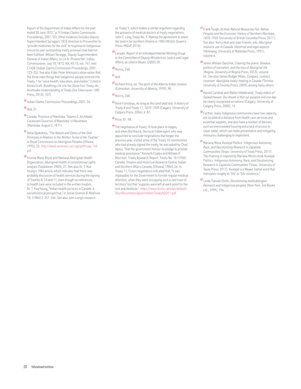Report of the Department of Indian Affairs for the year ended 30 June 1872," p. 9 (Indian Claims Commission Proceedings, 2001: 92). Other evidence includes Deputy Superintendent Spragge's 1873 direction to Provencher to "provide medicines for the sick" in response to Indigenous concerns over outstanding treaty promises that had not been fulfilled. William Spragge, Deputy Superintendent General of Indian Affairs, to J.A.N. Provencher, Indian Commissioner, July 18, 1873, NA, RG 10, vol. 747, reel C7408 (Indian Claims Commission Proceedings, 2001: 123–25). See also Elder Peter Atkinson's observation that the three main things that Indigenous people entered into Treaty 1 for "were health, education, and shelter." (cited in Aimée Craft. *Breathing Life into the Stone Fort Treaty: An Anishnabe Understanding of Treaty One* (Vancouver: UBC Press, 2013), 107).

34 Indian Claims Commission Proceedings, 2001: 24.

### $35$  Ibid, 21.

- 36 Canada. Province of Manitoba. "Adams G. Archibald, Lieutenant Governor of Manitoba" in *Manitoban* (Manitoba: August 2, 1871).
- <sup>37</sup>Delia Opekokew, *"The Nature and Status of the Oral Promises in Relation to the Written Terms of the Treaties"*  in Royal Commission on Aboriginal Peoples (Ottawa, 1993), 23. [http://data2.archives.ca/rcap/pdf/rcap-143.](http://data2.archives.ca/rcap/pdf/rcap-143.pdf ) [pdf](http://data2.archives.ca/rcap/pdf/rcap-143.pdf )
- 39 Yvonne Marie Boyer and National Aboriginal Health Organization, *Aboriginal health: A constitutional rights analysis* (Saskatoon: 2003), 21. See also Dr. T. Kue Young's 1984 article which indicates that there was probably discussion of health services during the signing of Treaties 8, 10 and 11, even though no references to health care were included in the written treaties. Dr. T. Kue Young, "Indian health services in Canada: A sociohistorical perspective," in *Social Science & Medicine*  18, (1984) 3: 257-264. See also John Long's research

on Treaty 9, which makes a similar argument regarding the presence of medical doctors at treaty negotiations. John S. Long *Treaty No. 9: Making the agreement to share the land in far northern Ontario in 1905* (McGill-Queen's Press-MQUP, 2010).

<sup>39</sup>Canada. *Report of an Interdepartmental Working Group to the Committee of Deputy Ministers on Justice and Legal Affairs*, as cited in Boyer, (2003) 20.

### 40 Morris, 248.

#### $41$  Ibid.

<sup>42</sup>Richard Price, ed. *The spirit of the Alberta Indian treaties*  (Edmonton: University of Alberta, 1999), 98.

### 43 Morris, 268.

<sup>44</sup>René Fumoleau, *As long as this land shall last: A history of Treaty 8 and Treaty 11, 1870-1939* (Calgary: University of Calgary Press, 2004), 6: 87.

### 45 Price, 81, 98.

46 The negotiation of Treaty 10 took place in stages, and when Borthwick, the local Indian agent who was appointed to conclude negotiations that began the previous year, visited some of the Treaty 10 communities who had already signed the treaty, he was asked by Chief Apisis, "that the government honour its pledge to provide medical assistance." Kenneth Coates and William R. Morrison. Treaty Research Report: Treaty No. 10 (1906). Canada. Treaties and Historical Research Centre, Indian and Northern Affairs Canada, [Ottawa] 1986), 26. In Treaty 11, Crown negotiators indicated that, "it was impossible for the Government to furnish regular medical attention, when they were occupying such a vast tract of territory" but that "supplies were left at each point for the sick and destitute." [https://www.tlicho.ca/sites/default/](https://www.tlicho.ca/sites/default/files/documents/government/Treaty%2011.pdf) [files/documents/government/Treaty%2011.pdf](https://www.tlicho.ca/sites/default/files/documents/government/Treaty%2011.pdf)

- <sup>47</sup>Frank Tough, *As their Natural Resources Fail: Native Peoples and the Economic History of Northern Manitoba, 1870-1930* (University of British Columbia Press, 2011). See also: Kerry Abel and Jean Friesen, eds. *Aboriginal resource use in Canada: Historical and legal aspects*  (Winnipeg: University of Manitoba Press, 1991), volume 6.
- <sup>48</sup>James William Daschuk, *Clearing the plains: Disease, politics of starvation, and the loss of Aboriginal life*  (Regina: University of Regina Press, 2013), volume 65. See also James Rodger Miller, *Compact, contract, covenant: Aboriginal treaty-making in Canada* (Toronto: University of Toronto Press, 2009); among many others.
- <sup>49</sup>Harold Cardinal and Walter Hildebrandt, *Treaty elders of Saskatchewan: Our dream is that our peoples will one day be clearly recognized as nations* (Calgary: University of Calgary Press, 2000), 14.
- $50$  Further, many Indigenous communities have low capacity, are located at a distance from health care services and essential supplies, and also have a number of barriers such as overcrowded housing and a lack of access to clean water, which can make preventative and mitigating measures challenging to implement.
- <sup>51</sup>Mariana Mora, *Kuxlejal Politics: Indigenous Autonomy, Race, and Decolonizing Research in Zapatista Communities* (Texas: University of Texas Press, 2017). This framing is inspired by Mariana Mora's book Kuxlejal Politics: Indigenous Autonomy, Race, and Decolonizing Research in Zapatista Communities (Texas: University of Texas Press, 2017). Kuxlejal is a Mayan Tseltal word that translates roughly to "life" or "life-existence."
- <sup>52</sup> Linda Tuhiwai Smith, *Decolonizing methodologies: Research and Indigenous peoples* (New York: Zed Books Ltd., 1999), 194.